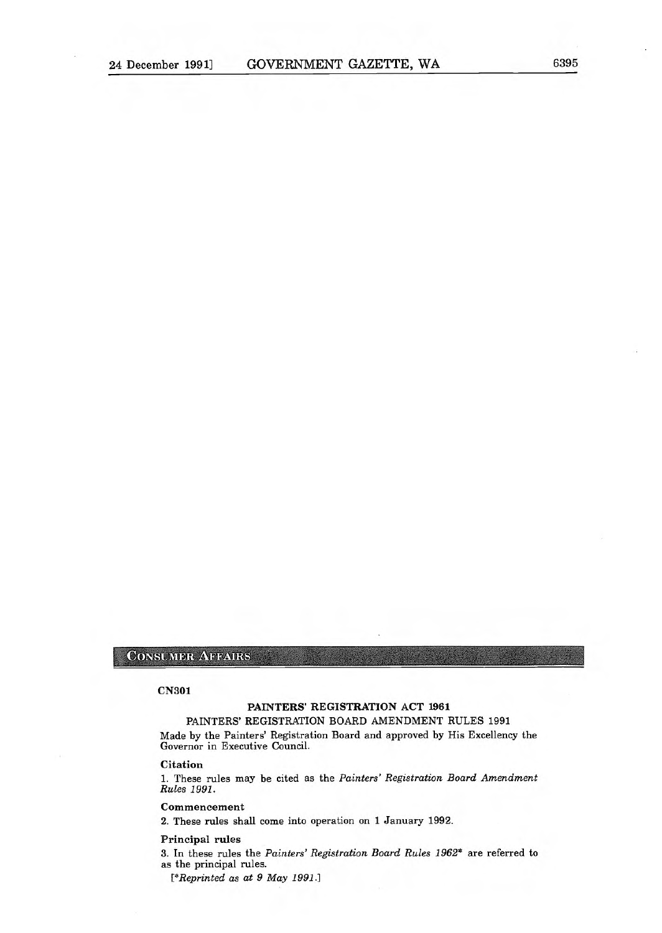## CONSUMER AFFAIRS

### CN301

# PAINTERS' REGISTRATION ACT 1961

PAINTERS' REGISTRATION BOARD AMENDMENT RULES 1991 Made by the Painters' Registration Board and approved by His Excellency the Governor in Executive Council.

#### **Citation**

1. These rules may be cited as the Painters' Registration Board Amendment Rules 1991.

## Commencement

2. These rules shall come into operation on 1 January 1992.

### Principal rules

3. In these rules the Painters' Registration Board Rules 1962\* are referred to as the principal rules.

[\*Reprinted as at 9 May 1991.]